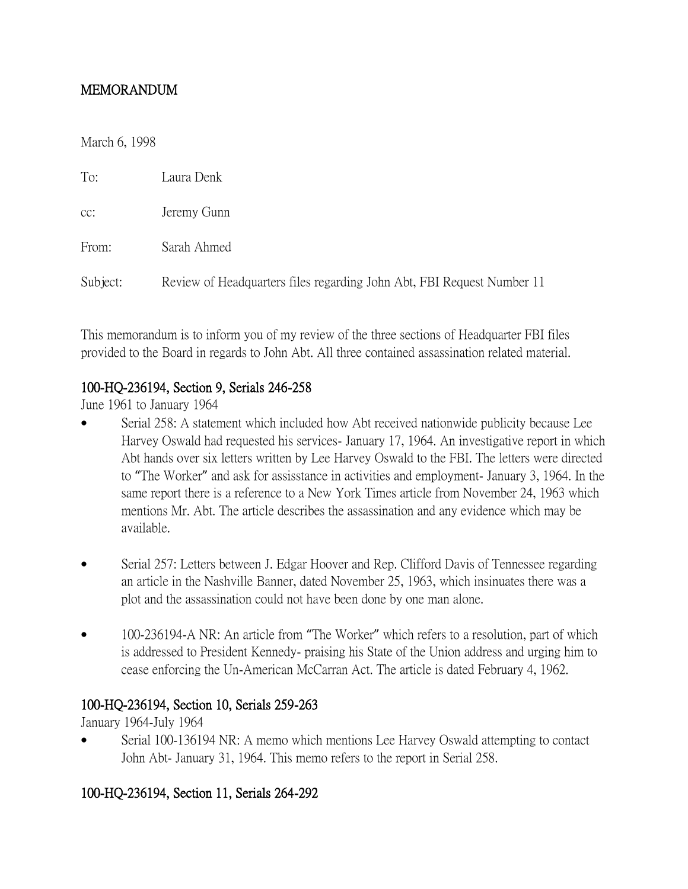## MEMORANDUM

March 6, 1998

| To:      | Laura Denk                                                             |
|----------|------------------------------------------------------------------------|
| CC:      | Jeremy Gunn                                                            |
| From:    | Sarah Ahmed                                                            |
| Subject: | Review of Headquarters files regarding John Abt, FBI Request Number 11 |

This memorandum is to inform you of my review of the three sections of Headquarter FBI files provided to the Board in regards to John Abt. All three contained assassination related material.

## 100-HQ-236194, Section 9, Serials 246-258

June 1961 to January 1964

- Serial 258: A statement which included how Abt received nationwide publicity because Lee Harvey Oswald had requested his services- January 17, 1964. An investigative report in which Abt hands over six letters written by Lee Harvey Oswald to the FBI. The letters were directed to "The Worker" and ask for assisstance in activities and employment- January 3, 1964. In the same report there is a reference to a New York Times article from November 24, 1963 which mentions Mr. Abt. The article describes the assassination and any evidence which may be available.
- Serial 257: Letters between J. Edgar Hoover and Rep. Clifford Davis of Tennessee regarding an article in the Nashville Banner, dated November 25, 1963, which insinuates there was a plot and the assassination could not have been done by one man alone.
- 100-236194-A NR: An article from "The Worker" which refers to a resolution, part of which is addressed to President Kennedy- praising his State of the Union address and urging him to cease enforcing the Un-American McCarran Act. The article is dated February 4, 1962.

## 100-HQ-236194, Section 10, Serials 259-263

January 1964-July 1964

 Serial 100-136194 NR: A memo which mentions Lee Harvey Oswald attempting to contact John Abt- January 31, 1964. This memo refers to the report in Serial 258.

## 100-HQ-236194, Section 11, Serials 264-292